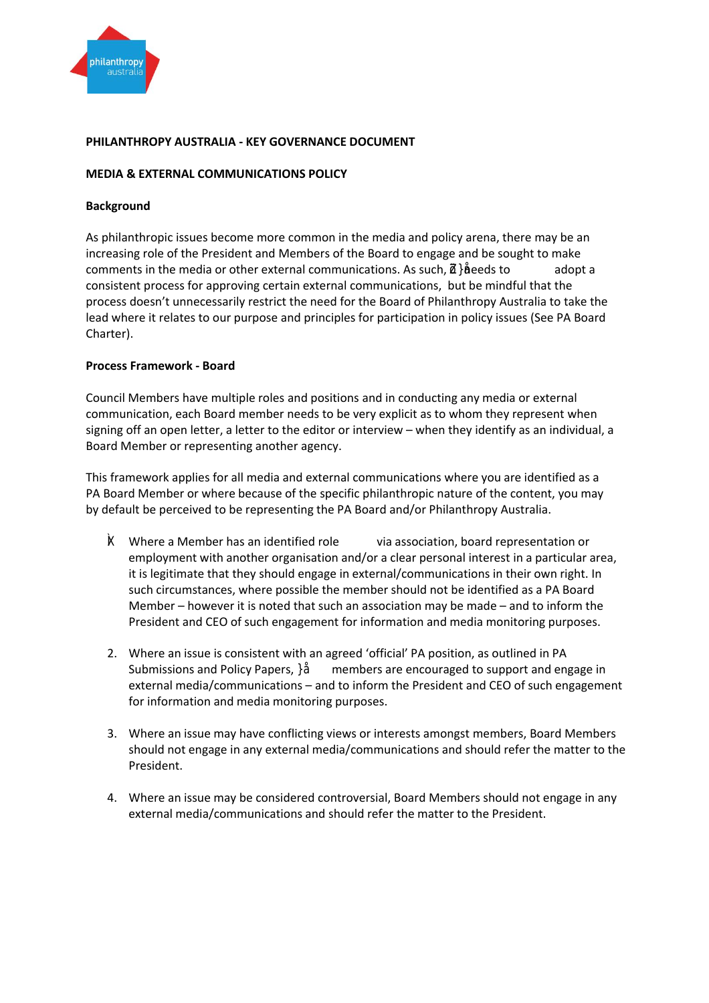

# **PHILANTHROPY AUSTRALIA - KEY GOVERNANCE DOCUMENT**

## **MEDIA & EXTERNAL COMMUNICATIONS POLICY**

### **Background**

As philanthropic issues become more common in the media and policy arena, there may be an increasing role of the President and Members of the Board to engage and be sought to make comments in the media or other external communications. As such, **pe**eds to adopt a consistent process for approving certain external communications, but be mindful that the process doesn't unnecessarily restrict the need for the Board of Philanthropy Australia to take the lead where it relates to our purpose and principles for participation in policy issues (See PA Board Charter).

## **Process Framework - Board**

Council Members have multiple roles and positions and in conducting any media or external communication, each Board member needs to be very explicit as to whom they represent when signing off an open letter, a letter to the editor or interview – when they identify as an individual, a Board Member or representing another agency.

This framework applies for all media and external communications where you are identified as a PA Board Member or where because of the specific philanthropic nature of the content, you may by default be perceived to be representing the PA Board and/or Philanthropy Australia.

- $K$  Where a  $\Omega$  Eember has an identified role via association, board representation or employment with another organisation and/or a clear personal interest in a particular area, it is legitimate that they should engage in external/communications in their own right. In such circumstances, where possible the member should not be identified as a PA Board Member – however it is noted that such an association may be made – and to inform the President and CEO of such engagement for information and media monitoring purposes.
- 2. Where an issue is consistent with an agreed 'official' PA position, as outlined in PA Submissions and Policy Papers,  ${P}E$ members are encouraged to support and engage in external media/communications – and to inform the President and CEO of such engagement for information and media monitoring purposes.
- 3. Where an issue may have conflicting views or interests amongst members, Board Members should not engage in any external media/communications and should refer the matter to the President.
- 4. Where an issue may be considered controversial, Board Members should not engage in any external media/communications and should refer the matter to the President.